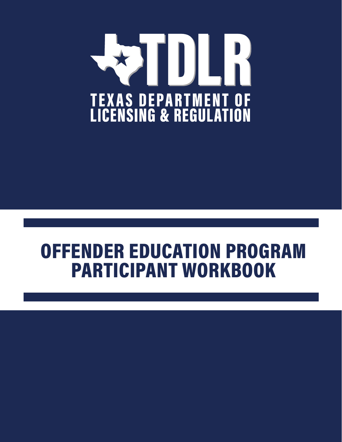

# OFFENDER EDUCATION PROGRAM PARTICIPANT WORKBOOK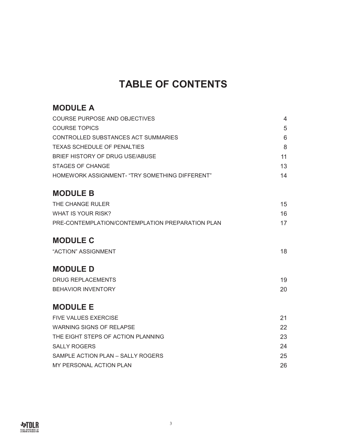## **TABLE OF CONTENTS**

#### **MODULE A**

| COURSE PURPOSE AND OBJECTIVES                    | 4  |
|--------------------------------------------------|----|
| <b>COURSE TOPICS</b>                             | 5  |
| CONTROLLED SUBSTANCES ACT SUMMARIES              | 6  |
| TEXAS SCHEDULE OF PENALTIES                      | 8  |
| BRIEF HISTORY OF DRUG USE/ABUSE                  | 11 |
| STAGES OF CHANGE                                 | 13 |
| HOMEWORK ASSIGNMENT- "TRY SOMETHING DIFFERENT"   | 14 |
|                                                  |    |
| <b>MODULE B</b>                                  |    |
| THE CHANGE RULER                                 | 15 |
| WHAT IS YOUR RISK?                               | 16 |
| PRE-CONTEMPLATION/CONTEMPLATION PREPARATION PLAN | 17 |
|                                                  |    |
| <b>MODULE C</b>                                  |    |

#### "ACTION" ASSIGNMENT 18

#### **MODULE D**

| DRUG REPLACEMENTS         | 19 |
|---------------------------|----|
| <b>BEHAVIOR INVENTORY</b> | 20 |

#### **MODULE E**

| <b>FIVE VALUES EXERCISE</b>        | 21  |
|------------------------------------|-----|
| WARNING SIGNS OF RELAPSE           | 22. |
| THE EIGHT STEPS OF ACTION PLANNING | 23. |
| <b>SALLY ROGERS</b>                | 24  |
| SAMPLE ACTION PLAN - SALLY ROGERS  | 25  |
| MY PERSONAL ACTION PLAN            | 26. |
|                                    |     |

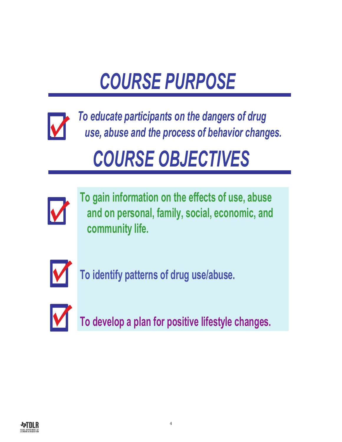# *COURSE PURPOSE*

<span id="page-3-0"></span>

*To educate participants on the dangers of drug use, abuse and the process of behavior changes.*

# *COURSE OBJECTIVES*



**To gain information on the effects of use, abuse and on personal, family, social, economic, and community life.**



**To identify patterns of drug use/abuse.**



**To develop a plan for positive lifestyle changes.**

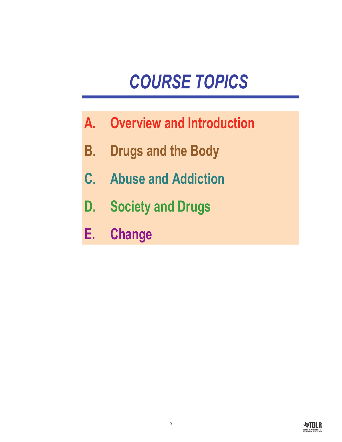# *COURSE TOPICS*

- <span id="page-4-0"></span>**A. Overview and Introduction**
- **B. Drugs and the Body**
- **C. Abuse and Addiction**
- **D. Society and Drugs**
- **E. Change**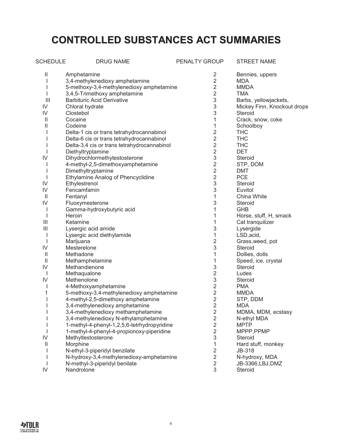## <span id="page-5-0"></span>**CONTROLLED SUBSTANCES ACT SUMMARIES**

| <b>SCHEDULE</b>                       | <b>DRUG NAME</b>                            | PENALTY GROUP             | <b>STREET NAME</b>             |
|---------------------------------------|---------------------------------------------|---------------------------|--------------------------------|
| $\mathbf{  }$                         | Amphetamine                                 | $\overline{2}$            | Bennies, uppers                |
|                                       | 3,4-methylenedioxy amphetamine              | 2                         | <b>MDA</b>                     |
|                                       | 5-methoxy-3,4-methylenedioxy amphetamine    | $\overline{c}$            | <b>MMDA</b>                    |
|                                       | 3,4,5-Trimethoxy amphetamine                | 2                         | TMA                            |
| $\begin{array}{c} \hline \end{array}$ | <b>Barbituric Acid Derivative</b>           | 3                         | Barbs, yellowjackets,          |
| IV                                    | Chloral hydrate                             | 3                         | Mickey Finn, Knockout drops    |
| IV                                    | Clostebol                                   | 3                         | Steroid                        |
| $\mathbf{H}$                          | Cocaine                                     | 1                         | Crack, snow, coke              |
| Ш                                     | Codeine                                     | 1                         | Schoolboy                      |
|                                       | Delta-1 cis or trans tetrahydrocannabinol   | $\overline{2}$            | <b>THC</b>                     |
|                                       | Delta-6 cis or trans tetrahydrocannabinol   | $\overline{2}$            | <b>THC</b>                     |
|                                       | Delta-3,4 cis or trans tetrahydrocannabinol | $\overline{2}$            | <b>THC</b>                     |
|                                       | Diethyltryptamine                           | $\overline{2}$            | <b>DET</b>                     |
| IV                                    | Dihydrochlormethytestosterone               | 3                         | Steroid                        |
|                                       | 4-methyl-2,5-dimethoxyamphetamine           | 2                         | STP, DOM                       |
|                                       | Dimethyltryptamine                          | $\overline{c}$            | DMT                            |
|                                       | Ethylamine Analog of Phencyclidine          | $\mathbf 2$               | <b>PCE</b>                     |
| IV                                    | Ethylestrenol                               | $\ensuremath{\mathsf{3}}$ | Steroid                        |
| IV                                    | Fencamfamin                                 | 3                         | Euvitol                        |
| $\mathbf{H}$                          | Fentanyl                                    | 1                         | China White                    |
| IV                                    | Fluoxymesterone                             | 3                         | Steroid                        |
|                                       | Gamma-hydroxybutyric acid                   | 1                         | <b>GHB</b>                     |
| ı                                     | Heroin                                      | 1                         | Horse, stuff, H, smack         |
| Ш                                     | Ketamine                                    | 1                         | Cat tranquilizer               |
| Ш                                     | Lysergic acid amide                         | 3                         | Lysergide                      |
|                                       | Lysergic acid diethylamide                  | 1                         | LSD, acid,                     |
|                                       | Marijuana                                   | 2                         | Grass, weed, pot<br>Steroid    |
| IV                                    | Mesterelone                                 | 3<br>1                    |                                |
| $\mathbf{  }$<br>$\mathbf{  }$        | Methadone<br>Methamphetamine                | 1                         | Dollies, dolls                 |
| IV                                    | Methandienone                               | 3                         | Speed, ice, crystal<br>Steroid |
| ı                                     | Methaqualone                                | 2                         | Ludes                          |
| IV                                    | Methenolone                                 | 3                         | Steroid                        |
|                                       | 4-Methoxyamphetamine                        | $\overline{2}$            | <b>PMA</b>                     |
| 1                                     | 5-methoxy-3,4-methylenedioxy amphetamine    | $\overline{2}$            | <b>MMDA</b>                    |
|                                       | 4-methyl-2,5-dimethoxy amphetamine          | $\overline{2}$            | STP, DDM                       |
|                                       | 3,4-methylenedioxy amphetamine              | $\overline{2}$            | <b>MDA</b>                     |
| I                                     | 3,4-methylenedioxy methamphetamine          | 2                         | MDMA, MDM, ecstasy             |
|                                       | 3,4-methylenedioxy N-ethylamphetamine       | $\overline{2}$            | N-ethyl MDA                    |
|                                       | 1-methyl-4-phenyl-1,2,5,6-tetrhydropyridine | $\overline{2}$            | <b>MPTP</b>                    |
|                                       | 1-methyl-4-phenyl-4-propionoxy-piperidine   | $\overline{2}$            | MPPP, PPMP                     |
| IV                                    | Methyltestosterone                          | 3                         | Steroid                        |
| $\mathop{\textstyle\prod}$            | Morphine                                    | 1                         | Hard stuff, monkey             |
|                                       | N-ethyl-3-piperidyl benzilate               | $\overline{2}$            | JB-318                         |
|                                       | N-hydroxy-3,4-methylenedioxy-amphetamine    | $\overline{2}$            | N-hydroxy, MDA                 |
|                                       | N-methyl-3-piperidyl benilate               | $\overline{2}$            | JB-3366,LBJ,DMZ                |
| IV                                    | Nandrolone                                  | 3                         | Steroid                        |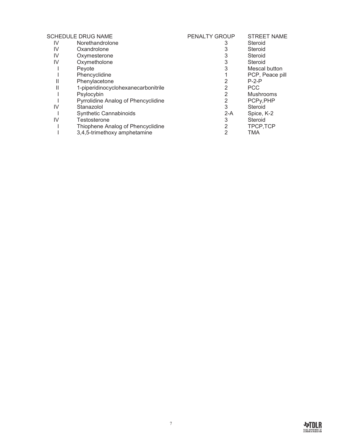| PENALTY GROUP | <b>STREET NAME</b>                                                                                              |
|---------------|-----------------------------------------------------------------------------------------------------------------|
| 3             | Steroid                                                                                                         |
| 3             | Steroid                                                                                                         |
| 3             | Steroid                                                                                                         |
| 3             | Steroid                                                                                                         |
| 3             | Mescal button                                                                                                   |
|               | PCP, Peace pill                                                                                                 |
| 2             | $P-2-P$                                                                                                         |
| 2             | <b>PCC</b>                                                                                                      |
| 2             | <b>Mushrooms</b>                                                                                                |
| 2             | PCPy, PHP                                                                                                       |
| 3             | Steroid                                                                                                         |
| $2-A$         | Spice, K-2                                                                                                      |
| 3             | Steroid                                                                                                         |
| 2             | TPCP,TCP                                                                                                        |
| 2             | TMA                                                                                                             |
|               | 1-piperidinocyclohexanecarbonitrile<br>Pyrrolidine Analog of Phencyclidine<br>Thiophene Analog of Phencyclidine |

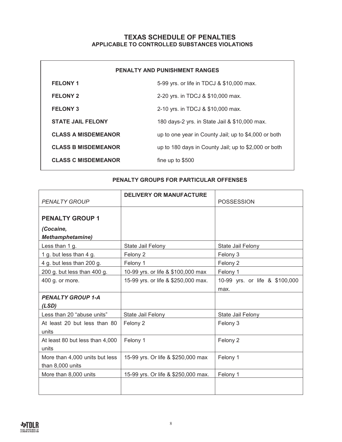#### **TEXAS SCHEDULE OF PENALTIES APPLICABLE TO CONTROLLED SUBSTANCES VIOLATIONS**

<span id="page-7-0"></span>

| <b>PENALTY AND PUNISHMENT RANGES</b> |                                                      |  |
|--------------------------------------|------------------------------------------------------|--|
| <b>FELONY 1</b>                      | 5-99 yrs. or life in TDCJ & \$10,000 max.            |  |
| <b>FELONY 2</b>                      | 2-20 yrs. in TDCJ & \$10,000 max.                    |  |
| <b>FELONY 3</b>                      | 2-10 yrs. in TDCJ & \$10,000 max.                    |  |
| <b>STATE JAIL FELONY</b>             | 180 days-2 yrs. in State Jail & \$10,000 max.        |  |
| <b>CLASS A MISDEMEANOR</b>           | up to one year in County Jail; up to \$4,000 or both |  |
| <b>CLASS B MISDEMEANOR</b>           | up to 180 days in County Jail; up to \$2,000 or both |  |
| <b>CLASS C MISDEMEANOR</b>           | fine up to $$500$                                    |  |

#### **PENALTY GROUPS FOR PARTICULAR OFFENSES**

| <b>PENALTY GROUP</b>            | <b>DELIVERY OR MANUFACTURE</b>      | <b>POSSESSION</b>              |
|---------------------------------|-------------------------------------|--------------------------------|
|                                 |                                     |                                |
| <b>PENALTY GROUP 1</b>          |                                     |                                |
| (Cocaine,                       |                                     |                                |
| <b>Methamphetamine)</b>         |                                     |                                |
| Less than 1 g.                  | State Jail Felony                   | State Jail Felony              |
| 1 g. but less than 4 g.         | Felony 2                            | Felony 3                       |
| 4 g. but less than 200 g.       | Felony 1                            | Felony 2                       |
| 200 g. but less than 400 g.     | 10-99 yrs. or life & \$100,000 max  | Felony 1                       |
| 400 g. or more.                 | 15-99 yrs. or life & \$250,000 max. | 10-99 yrs. or life & \$100,000 |
|                                 |                                     | max.                           |
| <b>PENALTY GROUP 1-A</b>        |                                     |                                |
| (LSD)                           |                                     |                                |
| Less than 20 "abuse units"      | State Jail Felony                   | State Jail Felony              |
| At least 20 but less than 80    | Felony 2                            | Felony 3                       |
| units                           |                                     |                                |
| At least 80 but less than 4,000 | Felony 1                            | Felony 2                       |
| units                           |                                     |                                |
| More than 4,000 units but less  | 15-99 yrs. Or life & \$250,000 max  | Felony 1                       |
| than 8,000 units                |                                     |                                |
| More than 8,000 units           | 15-99 yrs. Or life & \$250,000 max. | Felony 1                       |
|                                 |                                     |                                |
|                                 |                                     |                                |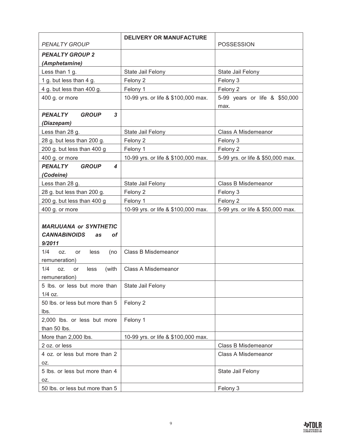|                                                  | <b>DELIVERY OR MANUFACTURE</b>      |                                       |
|--------------------------------------------------|-------------------------------------|---------------------------------------|
| <b>PENALTY GROUP</b>                             |                                     | <b>POSSESSION</b>                     |
| <b>PENALTY GROUP 2</b>                           |                                     |                                       |
| (Amphetamine)                                    |                                     |                                       |
| Less than 1 g.                                   | State Jail Felony                   | State Jail Felony                     |
| 1 g. but less than 4 g.                          | Felony 2                            | Felony 3                              |
| 4 g. but less than 400 g.                        | Felony 1                            | Felony 2                              |
| 400 g. or more                                   | 10-99 yrs. or life & \$100,000 max. | 5-99 years or life & \$50,000<br>max. |
| <b>PENALTY</b><br><b>GROUP</b><br>3              |                                     |                                       |
| (Diazepam)                                       |                                     |                                       |
| Less than 28 g.                                  | State Jail Felony                   | Class A Misdemeanor                   |
| 28 g. but less than 200 g.                       | Felony 2                            | Felony 3                              |
| 200 g. but less than 400 g                       | Felony 1                            | Felony 2                              |
| 400 g. or more                                   | 10-99 yrs. or life & \$100,000 max. | 5-99 yrs. or life & \$50,000 max.     |
| <b>GROUP</b><br><b>PENALTY</b><br>4              |                                     |                                       |
| (Codeine)                                        |                                     |                                       |
| Less than 28 g.                                  | State Jail Felony                   | <b>Class B Misdemeanor</b>            |
| 28 g. but less than 200 g.                       | Felony 2                            | Felony 3                              |
| 200 g. but less than 400 g                       | Felony 1                            | Felony 2                              |
| 400 g. or more                                   | 10-99 yrs. or life & \$100,000 max. | 5-99 yrs. or life & \$50,000 max.     |
|                                                  |                                     |                                       |
| <b>MARIJUANA or SYNTHETIC</b>                    |                                     |                                       |
| <b>CANNABINOIDS</b><br>οf<br>as                  |                                     |                                       |
| 9/2011                                           |                                     |                                       |
| 1/4<br>OZ.<br>less<br>(no<br>or<br>remuneration) | Class B Misdemeanor                 |                                       |
| 1/4<br>OZ.<br>less<br>(with<br>or                | <b>Class A Misdemeanor</b>          |                                       |
| remuneration)                                    |                                     |                                       |
| 5 lbs. or less but more than                     | State Jail Felony                   |                                       |
| $1/4$ oz.                                        |                                     |                                       |
| 50 lbs. or less but more than 5                  | Felony 2                            |                                       |
| lbs.                                             |                                     |                                       |
| 2,000 lbs. or less but more                      | Felony 1                            |                                       |
| than 50 lbs.                                     |                                     |                                       |
| More than 2,000 lbs.                             | 10-99 yrs. or life & \$100,000 max. |                                       |
| 2 oz. or less                                    |                                     | <b>Class B Misdemeanor</b>            |
| 4 oz. or less but more than 2                    |                                     | Class A Misdemeanor                   |
| OZ.                                              |                                     |                                       |
| 5 lbs. or less but more than 4                   |                                     | State Jail Felony                     |
| OZ.                                              |                                     |                                       |
| 50 lbs. or less but more than 5                  |                                     | Felony 3                              |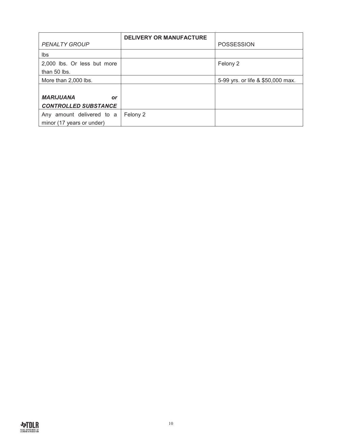|                             | <b>DELIVERY OR MANUFACTURE</b> |                                   |
|-----------------------------|--------------------------------|-----------------------------------|
| <b>PENALTY GROUP</b>        |                                | <b>POSSESSION</b>                 |
| lbs                         |                                |                                   |
| 2,000 lbs. Or less but more |                                | Felony 2                          |
| than 50 lbs.                |                                |                                   |
| More than 2,000 lbs.        |                                | 5-99 yrs. or life & \$50,000 max. |
|                             |                                |                                   |
| <b>MARIJUANA</b><br>or      |                                |                                   |
| <b>CONTROLLED SUBSTANCE</b> |                                |                                   |
| Any amount delivered to a   | Felony 2                       |                                   |
| minor (17 years or under)   |                                |                                   |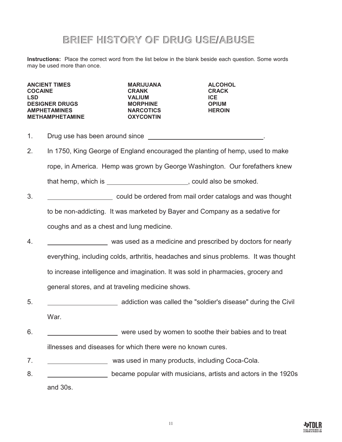#### **BRIEF HISTORY OF DRUG USE/ABUSE**

<span id="page-10-0"></span>**Instructions:** Place the correct word from the list below in the blank beside each question. Some words may be used more than once.

**ANCIENT TIMES MARIJUANA ALCOHOL COCAINE CRANK CRACK LSD VALIUM ICE DESIGNER DRUGS MORPHINE OPIUM AMPHETAMINES NARCOTICS HEROIN METHAMPHETAMINE** 

- 1. Drug use has been around since **Example 20** and the Drug use has been around since
- 2. In 1750, King George of England encouraged the planting of hemp, used to make rope, in America. Hemp was grown by George Washington. Our forefathers knew that hemp, which is  $\qquad \qquad$ , could also be smoked.
- 3. could be ordered from mail order catalogs and was thought to be non-addicting. It was marketed by Bayer and Company as a sedative for coughs and as a chest and lung medicine.
- 4. was used as a medicine and prescribed by doctors for nearly everything, including colds, arthritis, headaches and sinus problems. It was thought to increase intelligence and imagination. It was sold in pharmacies, grocery and general stores, and at traveling medicine shows.
- 5. addiction was called the "soldier's disease" during the Civil War.
- 6. were used by women to soothe their babies and to treat illnesses and diseases for which there were no known cures.
- 7. was used in many products, including Coca-Cola.
- 8. became popular with musicians, artists and actors in the 1920s and 30s.

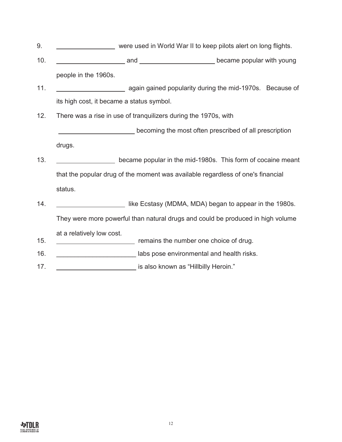- 9. were used in World War II to keep pilots alert on long flights.
- 10. **and became popular with young** and **contained and contained became popular with young** people in the 1960s.
- 11. again gained popularity during the mid-1970s. Because of its high cost, it became a status symbol.
- 12. There was a rise in use of tranquilizers during the 1970s, with

 becoming the most often prescribed of all prescription drugs.

- 13. **became popular in the mid-1980s.** This form of cocaine meant that the popular drug of the moment was available regardless of one's financial status.
- 14. **In the Ecstasy (MDMA, MDA)** began to appear in the 1980s. They were more powerful than natural drugs and could be produced in high volume at a relatively low cost. 15. remains the number one choice of drug. 16. \_\_\_\_\_\_\_\_\_\_\_\_\_\_\_\_\_\_\_\_\_\_ labs pose environmental and health risks.
- 
- 17. \_\_\_\_\_\_\_\_\_\_\_\_\_\_\_\_\_\_\_\_\_\_ is also known as "Hillbilly Heroin."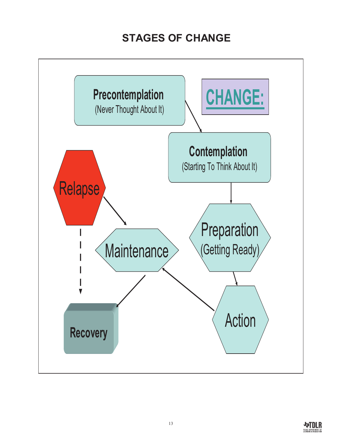## **STAGES OF CHANGE**

<span id="page-12-0"></span>

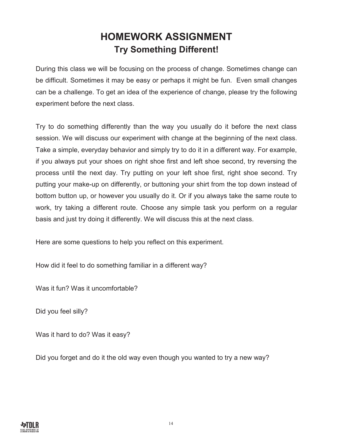#### **HOMEWORK ASSIGNMENT Try Something Different!**

<span id="page-13-0"></span>During this class we will be focusing on the process of change. Sometimes change can be difficult. Sometimes it may be easy or perhaps it might be fun. Even small changes can be a challenge. To get an idea of the experience of change, please try the following experiment before the next class.

Try to do something differently than the way you usually do it before the next class session. We will discuss our experiment with change at the beginning of the next class. Take a simple, everyday behavior and simply try to do it in a different way. For example, if you always put your shoes on right shoe first and left shoe second, try reversing the process until the next day. Try putting on your left shoe first, right shoe second. Try putting your make-up on differently, or buttoning your shirt from the top down instead of bottom button up, or however you usually do it. Or if you always take the same route to work, try taking a different route. Choose any simple task you perform on a regular basis and just try doing it differently. We will discuss this at the next class.

Here are some questions to help you reflect on this experiment.

How did it feel to do something familiar in a different way?

Was it fun? Was it uncomfortable?

Did you feel silly?

Was it hard to do? Was it easy?

Did you forget and do it the old way even though you wanted to try a new way?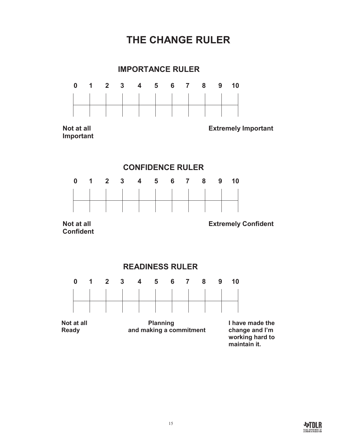## **THE CHANGE RULER**

<span id="page-14-0"></span>

#### **CONFIDENCE RULER**



 **Confident** 

**Not at all South Confident Confident Confident Extremely Confident** 





**Not at all example 1 Ready** Planning Thave made the Ready and making a commitment Theorem and I'm **Ready and making a commitment** 

**working hard to maintain it.**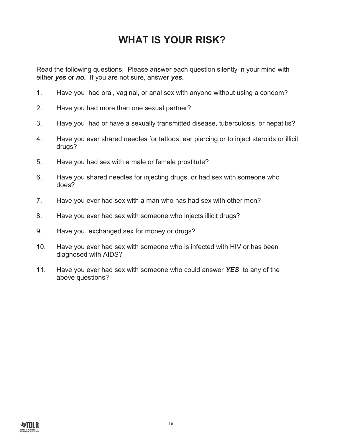## **WHAT IS YOUR RISK?**

<span id="page-15-0"></span>Read the following questions. Please answer each question silently in your mind with either *yes* or *no.* If you are not sure, answer *yes.*

- 1. Have you had oral, vaginal, or anal sex with anyone without using a condom?
- 2. Have you had more than one sexual partner?
- 3. Have you had or have a sexually transmitted disease, tuberculosis, or hepatitis?
- 4. Have you ever shared needles for tattoos, ear piercing or to inject steroids or illicit drugs?
- 5. Have you had sex with a male or female prostitute?
- 6. Have you shared needles for injecting drugs, or had sex with someone who does?
- 7. Have you ever had sex with a man who has had sex with other men?
- 8. Have you ever had sex with someone who injects illicit drugs?
- 9. Have you exchanged sex for money or drugs?
- 10. Have you ever had sex with someone who is infected with HIV or has been diagnosed with AIDS?
- 11. Have you ever had sex with someone who could answer *YES* to any of the above questions?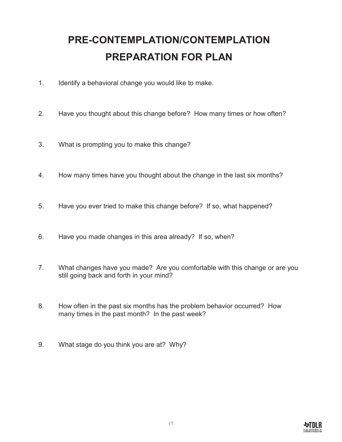# <span id="page-16-0"></span>**PRE-CONTEMPLATION/CONTEMPLATION PREPARATION FOR PLAN**

- 1. Identify a behavioral change you would like to make.
- 2. Have you thought about this change before? How many times or how often?
- 3. What is prompting you to make this change?
- 4. How many times have you thought about the change in the last six months?
- 5. Have you ever tried to make this change before? If so, what happened?
- 6. Have you made changes in this area already? If so, when?
- 7. What changes have you made? Are you comfortable with this change or are you still going back and forth in your mind?
- 8. How often in the past six months has the problem behavior occurred? How many times in the past month? In the past week?
- 9. What stage do you think you are at? Why?

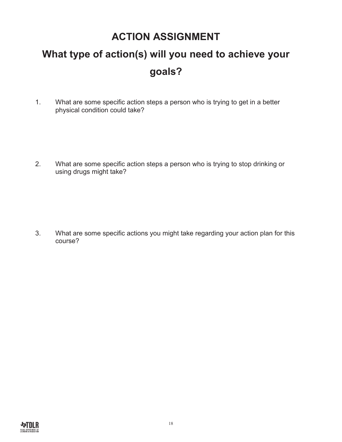#### **ACTION ASSIGNMENT**

# <span id="page-17-0"></span>**What type of action(s) will you need to achieve your goals?**

1. What are some specific action steps a person who is trying to get in a better physical condition could take?

2. What are some specific action steps a person who is trying to stop drinking or using drugs might take?

3. What are some specific actions you might take regarding your action plan for this course?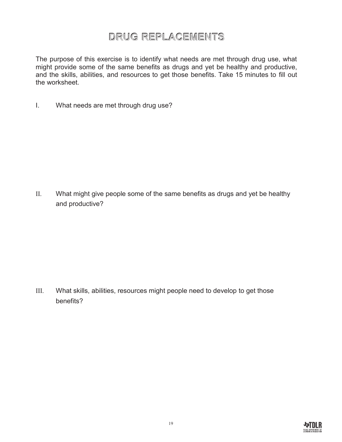#### **DRUG REPLACEMENTS**

<span id="page-18-0"></span>The purpose of this exercise is to identify what needs are met through drug use, what might provide some of the same benefits as drugs and yet be healthy and productive, and the skills, abilities, and resources to get those benefits. Take 15 minutes to fill out the worksheet.

I. What needs are met through drug use?

II. What might give people some of the same benefits as drugs and yet be healthy and productive?

III. What skills, abilities, resources might people need to develop to get those benefits?

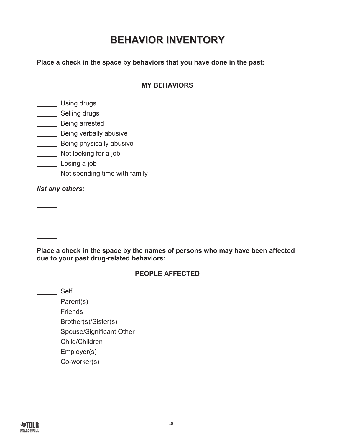### **BEHAVIOR INVENTORY**

<span id="page-19-0"></span>**Place a check in the space by behaviors that you have done in the past:** 

#### **MY BEHAVIORS**

Losing drugs

\_\_\_\_\_\_ Selling drugs

- **LETTE** Being arrested
- **Being verbally abusive**

**Being physically abusive** 

**Not looking for a job** 

- Losing a job
- Not spending time with family

*list any others:* 

**Place a check in the space by the names of persons who may have been affected due to your past drug-related behaviors:** 

#### **PEOPLE AFFECTED**

Land Self

**Parent(s)** 

**Lasser** Friends

- **Example 3** Brother(s)/Sister(s)
- **Spouse/Significant Other**

Child/Children

**Employer(s)** 

Co-worker(s)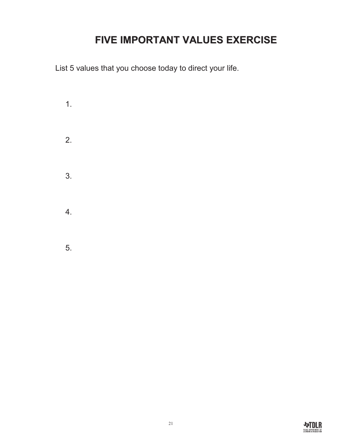## **FIVE IMPORTANT VALUES EXERCISE**

<span id="page-20-0"></span>List 5 values that you choose today to direct your life.

1. 2. 3. 4. 5.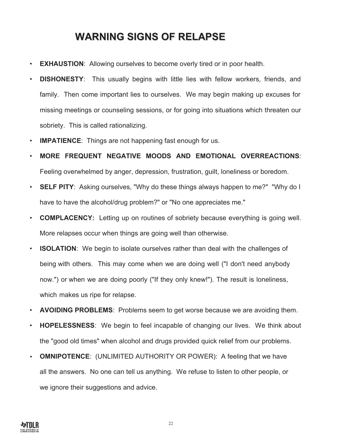#### **WARNING SIGNS OF RELAPSE**

- <span id="page-21-0"></span>• **EXHAUSTION**: Allowing ourselves to become overly tired or in poor health.
- **DISHONESTY**: This usually begins with little lies with fellow workers, friends, and family. Then come important lies to ourselves. We may begin making up excuses for missing meetings or counseling sessions, or for going into situations which threaten our sobriety. This is called rationalizing.
- **IMPATIENCE**: Things are not happening fast enough for us.
- **MORE FREQUENT NEGATIVE MOODS AND EMOTIONAL OVERREACTIONS**: Feeling overwhelmed by anger, depression, frustration, guilt, loneliness or boredom.
- **SELF PITY**: Asking ourselves, "Why do these things always happen to me?" "Why do I have to have the alcohol/drug problem?" or "No one appreciates me."
- **COMPLACENCY:** Letting up on routines of sobriety because everything is going well. More relapses occur when things are going well than otherwise.
- **ISOLATION**: We begin to isolate ourselves rather than deal with the challenges of being with others. This may come when we are doing well ("I don't need anybody now.") or when we are doing poorly ("If they only knew!"). The result is loneliness, which makes us ripe for relapse.
- **AVOIDING PROBLEMS**: Problems seem to get worse because we are avoiding them.
- **HOPELESSNESS**: We begin to feel incapable of changing our lives. We think about the "good old times" when alcohol and drugs provided quick relief from our problems.
- **OMNIPOTENCE**: (UNLIMITED AUTHORITY OR POWER): A feeling that we have all the answers. No one can tell us anything. We refuse to listen to other people, or we ignore their suggestions and advice.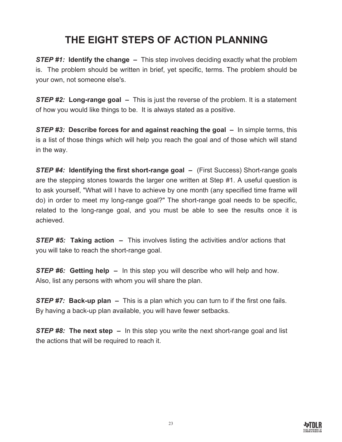## **THE EIGHT STEPS OF ACTION PLANNING**

<span id="page-22-0"></span>*STEP #1:* **Identify the change –** This step involves deciding exactly what the problem is. The problem should be written in brief, yet specific, terms. The problem should be your own, not someone else's.

*STEP #2:* **Long-range goal –** This is just the reverse of the problem. It is a statement of how you would like things to be. It is always stated as a positive.

*STEP #3:* **Describe forces for and against reaching the goal –** In simple terms, this is a list of those things which will help you reach the goal and of those which will stand in the way.

*STEP #4:* **Identifying the first short-range goal –** (First Success) Short-range goals are the stepping stones towards the larger one written at Step #1. A useful question is to ask yourself, "What will I have to achieve by one month (any specified time frame will do) in order to meet my long-range goal?" The short-range goal needs to be specific, related to the long-range goal, and you must be able to see the results once it is achieved.

**STEP #5: Taking action –** This involves listing the activities and/or actions that you will take to reach the short-range goal.

*STEP #6:* **Getting help –** In this step you will describe who will help and how. Also, list any persons with whom you will share the plan.

*STEP #7:* **Back-up plan –** This is a plan which you can turn to if the first one fails. By having a back-up plan available, you will have fewer setbacks.

*STEP #8:* **The next step –** In this step you write the next short-range goal and list the actions that will be required to reach it.

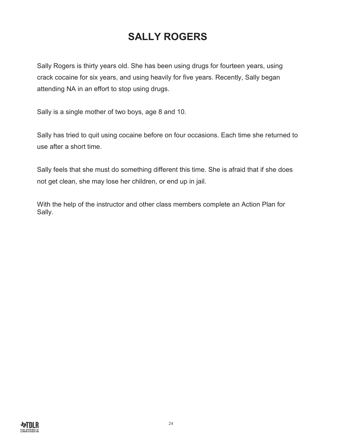## **SALLY ROGERS**

<span id="page-23-0"></span>Sally Rogers is thirty years old. She has been using drugs for fourteen years, using crack cocaine for six years, and using heavily for five years. Recently, Sally began attending NA in an effort to stop using drugs.

Sally is a single mother of two boys, age 8 and 10.

Sally has tried to quit using cocaine before on four occasions. Each time she returned to use after a short time.

Sally feels that she must do something different this time. She is afraid that if she does not get clean, she may lose her children, or end up in jail.

With the help of the instructor and other class members complete an Action Plan for Sally.

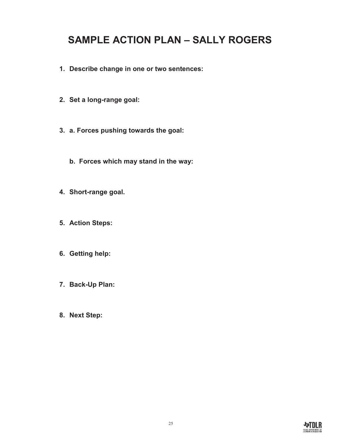### <span id="page-24-0"></span>**SAMPLE ACTION PLAN – SALLY ROGERS**

- **1. Describe change in one or two sentences:**
- **2. Set a long-range goal:**
- **3. a. Forces pushing towards the goal:**
	- **b. Forces which may stand in the way:**
- **4. Short-range goal.**
- **5. Action Steps:**
- **6. Getting help:**
- **7. Back-Up Plan:**
- **8. Next Step:**

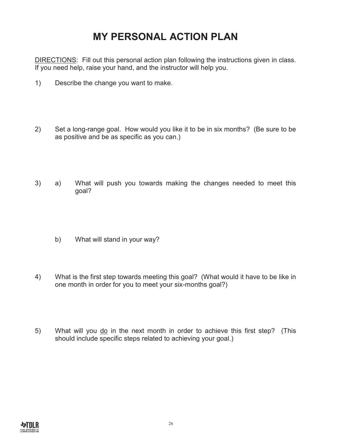#### **MY PERSONAL ACTION PLAN**

<span id="page-25-0"></span>DIRECTIONS: Fill out this personal action plan following the instructions given in class. If you need help, raise your hand, and the instructor will help you.

- 1) Describe the change you want to make.
- 2) Set a long-range goal. How would you like it to be in six months? (Be sure to be as positive and be as specific as you can.)
- 3) a) What will push you towards making the changes needed to meet this goal?
	- b) What will stand in your way?
- 4) What is the first step towards meeting this goal? (What would it have to be like in one month in order for you to meet your six-months goal?)
- 5) What will you do in the next month in order to achieve this first step? (This should include specific steps related to achieving your goal.)